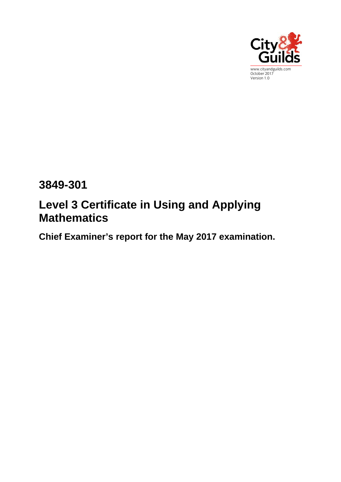

# **3849-301**

# **Level 3 Certificate in Using and Applying Mathematics**

**Chief Examiner's report for the May 2017 examination.**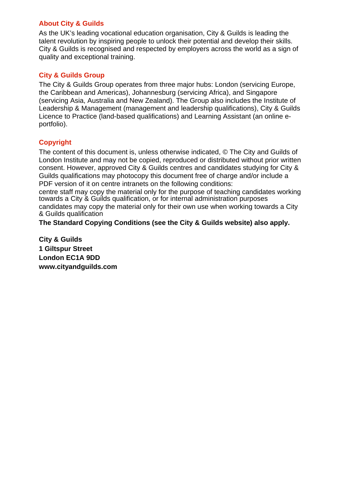#### **About City & Guilds**

As the UK's leading vocational education organisation, City & Guilds is leading the talent revolution by inspiring people to unlock their potential and develop their skills. City & Guilds is recognised and respected by employers across the world as a sign of quality and exceptional training.

#### **City & Guilds Group**

The City & Guilds Group operates from three major hubs: London (servicing Europe, the Caribbean and Americas), Johannesburg (servicing Africa), and Singapore (servicing Asia, Australia and New Zealand). The Group also includes the Institute of Leadership & Management (management and leadership qualifications), City & Guilds Licence to Practice (land-based qualifications) and Learning Assistant (an online eportfolio).

#### **Copyright**

The content of this document is, unless otherwise indicated, © The City and Guilds of London Institute and may not be copied, reproduced or distributed without prior written consent. However, approved City & Guilds centres and candidates studying for City & Guilds qualifications may photocopy this document free of charge and/or include a PDF version of it on centre intranets on the following conditions:

centre staff may copy the material only for the purpose of teaching candidates working towards a City & Guilds qualification, or for internal administration purposes candidates may copy the material only for their own use when working towards a City & Guilds qualification

**The Standard Copying Conditions (see the City & Guilds website) also apply.** 

**City & Guilds 1 Giltspur Street London EC1A 9DD www.cityandguilds.com**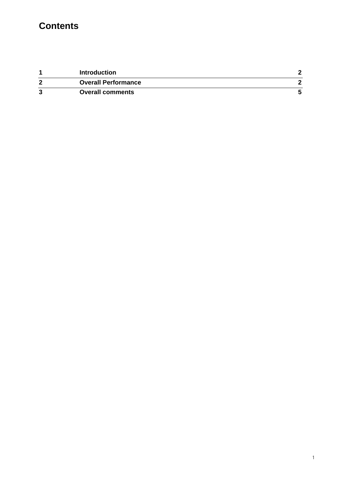## **Contents**

|   | <b>Introduction</b>        |  |
|---|----------------------------|--|
| ີ | <b>Overall Performance</b> |  |
| ົ | <b>Overall comments</b>    |  |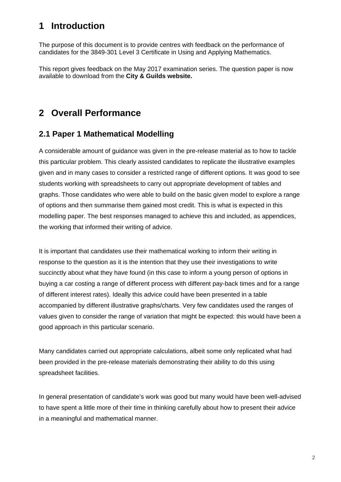### **1 Introduction**

The purpose of this document is to provide centres with feedback on the performance of candidates for the 3849-301 Level 3 Certificate in Using and Applying Mathematics.

This report gives feedback on the May 2017 examination series. The question paper is now available to download from the **City & Guilds website.** 

### **2 Overall Performance**

#### **2.1 Paper 1 Mathematical Modelling**

A considerable amount of guidance was given in the pre-release material as to how to tackle this particular problem. This clearly assisted candidates to replicate the illustrative examples given and in many cases to consider a restricted range of different options. It was good to see students working with spreadsheets to carry out appropriate development of tables and graphs. Those candidates who were able to build on the basic given model to explore a range of options and then summarise them gained most credit. This is what is expected in this modelling paper. The best responses managed to achieve this and included, as appendices, the working that informed their writing of advice.

It is important that candidates use their mathematical working to inform their writing in response to the question as it is the intention that they use their investigations to write succinctly about what they have found (in this case to inform a young person of options in buying a car costing a range of different process with different pay-back times and for a range of different interest rates). Ideally this advice could have been presented in a table accompanied by different illustrative graphs/charts. Very few candidates used the ranges of values given to consider the range of variation that might be expected: this would have been a good approach in this particular scenario.

Many candidates carried out appropriate calculations, albeit some only replicated what had been provided in the pre-release materials demonstrating their ability to do this using spreadsheet facilities.

In general presentation of candidate's work was good but many would have been well-advised to have spent a little more of their time in thinking carefully about how to present their advice in a meaningful and mathematical manner.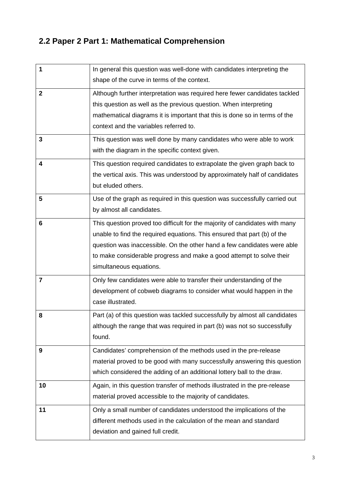## **2.2 Paper 2 Part 1: Mathematical Comprehension**

| 1           | In general this question was well-done with candidates interpreting the     |
|-------------|-----------------------------------------------------------------------------|
|             | shape of the curve in terms of the context.                                 |
| $\mathbf 2$ | Although further interpretation was required here fewer candidates tackled  |
|             | this question as well as the previous question. When interpreting           |
|             | mathematical diagrams it is important that this is done so in terms of the  |
|             | context and the variables referred to.                                      |
| 3           | This question was well done by many candidates who were able to work        |
|             | with the diagram in the specific context given.                             |
| 4           | This question required candidates to extrapolate the given graph back to    |
|             | the vertical axis. This was understood by approximately half of candidates  |
|             | but eluded others.                                                          |
| 5           | Use of the graph as required in this question was successfully carried out  |
|             | by almost all candidates.                                                   |
| 6           | This question proved too difficult for the majority of candidates with many |
|             | unable to find the required equations. This ensured that part (b) of the    |
|             | question was inaccessible. On the other hand a few candidates were able     |
|             | to make considerable progress and make a good attempt to solve their        |
|             | simultaneous equations.                                                     |
| 7           | Only few candidates were able to transfer their understanding of the        |
|             | development of cobweb diagrams to consider what would happen in the         |
|             | case illustrated.                                                           |
| 8           | Part (a) of this question was tackled successfully by almost all candidates |
|             | although the range that was required in part (b) was not so successfully    |
|             | found.                                                                      |
| 9           | Candidates' comprehension of the methods used in the pre-release            |
|             | material proved to be good with many successfully answering this question   |
|             | which considered the adding of an additional lottery ball to the draw.      |
| 10          | Again, in this question transfer of methods illustrated in the pre-release  |
|             | material proved accessible to the majority of candidates.                   |
| 11          | Only a small number of candidates understood the implications of the        |
|             | different methods used in the calculation of the mean and standard          |
|             | deviation and gained full credit.                                           |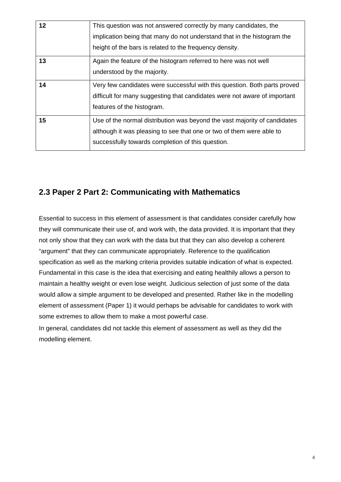| 12 | This question was not answered correctly by many candidates, the<br>implication being that many do not understand that in the histogram the<br>height of the bars is related to the frequency density. |
|----|--------------------------------------------------------------------------------------------------------------------------------------------------------------------------------------------------------|
| 13 | Again the feature of the histogram referred to here was not well<br>understood by the majority.                                                                                                        |
| 14 | Very few candidates were successful with this question. Both parts proved<br>difficult for many suggesting that candidates were not aware of important<br>features of the histogram.                   |
| 15 | Use of the normal distribution was beyond the vast majority of candidates<br>although it was pleasing to see that one or two of them were able to<br>successfully towards completion of this question. |

#### **2.3 Paper 2 Part 2: Communicating with Mathematics**

Essential to success in this element of assessment is that candidates consider carefully how they will communicate their use of, and work with, the data provided. It is important that they not only show that they can work with the data but that they can also develop a coherent "argument" that they can communicate appropriately. Reference to the qualification specification as well as the marking criteria provides suitable indication of what is expected. Fundamental in this case is the idea that exercising and eating healthily allows a person to maintain a healthy weight or even lose weight. Judicious selection of just some of the data would allow a simple argument to be developed and presented. Rather like in the modelling element of assessment (Paper 1) it would perhaps be advisable for candidates to work with some extremes to allow them to make a most powerful case.

In general, candidates did not tackle this element of assessment as well as they did the modelling element.